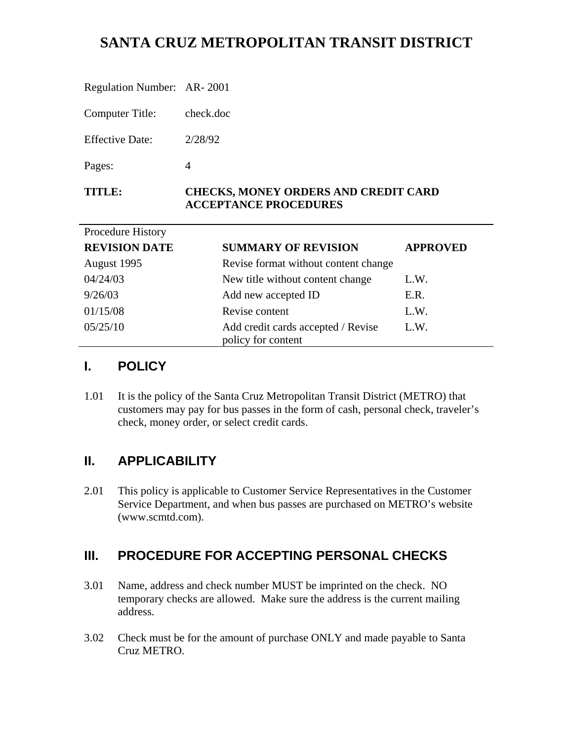# **SANTA CRUZ METROPOLITAN TRANSIT DISTRICT**

| <b>TITLE:</b>              | <b>CHECKS, MONEY ORDERS AND CREDIT CARD</b><br><b>ACCEPTANCE PROCEDURES</b> |
|----------------------------|-----------------------------------------------------------------------------|
| Pages:                     | 4                                                                           |
| <b>Effective Date:</b>     | 2/28/92                                                                     |
| Computer Title:            | check.doc                                                                   |
| Regulation Number: AR-2001 |                                                                             |

| Procedure History    |                                                          |                 |
|----------------------|----------------------------------------------------------|-----------------|
| <b>REVISION DATE</b> | <b>SUMMARY OF REVISION</b>                               | <b>APPROVED</b> |
| August 1995          | Revise format without content change                     |                 |
| 04/24/03             | New title without content change                         | L.W.            |
| 9/26/03              | Add new accepted ID                                      | E.R.            |
| 01/15/08             | Revise content                                           | L.W.            |
| 05/25/10             | Add credit cards accepted / Revise<br>policy for content | L.W.            |

## **I. POLICY**

1.01 It is the policy of the Santa Cruz Metropolitan Transit District (METRO) that customers may pay for bus passes in the form of cash, personal check, traveler's check, money order, or select credit cards.

## **II. APPLICABILITY**

2.01 This policy is applicable to Customer Service Representatives in the Customer Service Department, and when bus passes are purchased on METRO's website (www.scmtd.com).

## **III. PROCEDURE FOR ACCEPTING PERSONAL CHECKS**

- 3.01 Name, address and check number MUST be imprinted on the check. NO temporary checks are allowed. Make sure the address is the current mailing address.
- 3.02 Check must be for the amount of purchase ONLY and made payable to Santa Cruz METRO.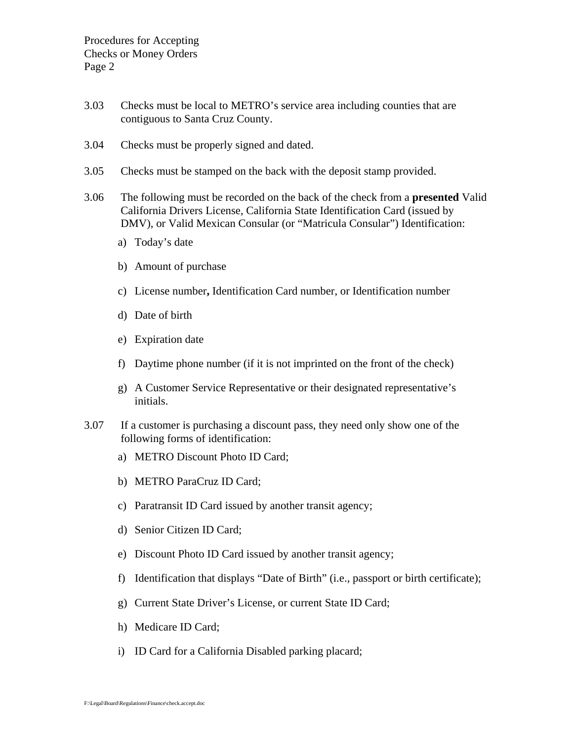- 3.03 Checks must be local to METRO's service area including counties that are contiguous to Santa Cruz County.
- 3.04 Checks must be properly signed and dated.
- 3.05 Checks must be stamped on the back with the deposit stamp provided.
- 3.06 The following must be recorded on the back of the check from a **presented** Valid California Drivers License, California State Identification Card (issued by DMV), or Valid Mexican Consular (or "Matricula Consular") Identification:
	- a) Today's date
	- b) Amount of purchase
	- c) License number**,** Identification Card number, or Identification number
	- d) Date of birth
	- e) Expiration date
	- f) Daytime phone number (if it is not imprinted on the front of the check)
	- g) A Customer Service Representative or their designated representative's initials.
- 3.07 If a customer is purchasing a discount pass, they need only show one of the following forms of identification:
	- a) METRO Discount Photo ID Card;
	- b) METRO ParaCruz ID Card;
	- c) Paratransit ID Card issued by another transit agency;
	- d) Senior Citizen ID Card;
	- e) Discount Photo ID Card issued by another transit agency;
	- f) Identification that displays "Date of Birth" (i.e., passport or birth certificate);
	- g) Current State Driver's License, or current State ID Card;
	- h) Medicare ID Card;
	- i) ID Card for a California Disabled parking placard;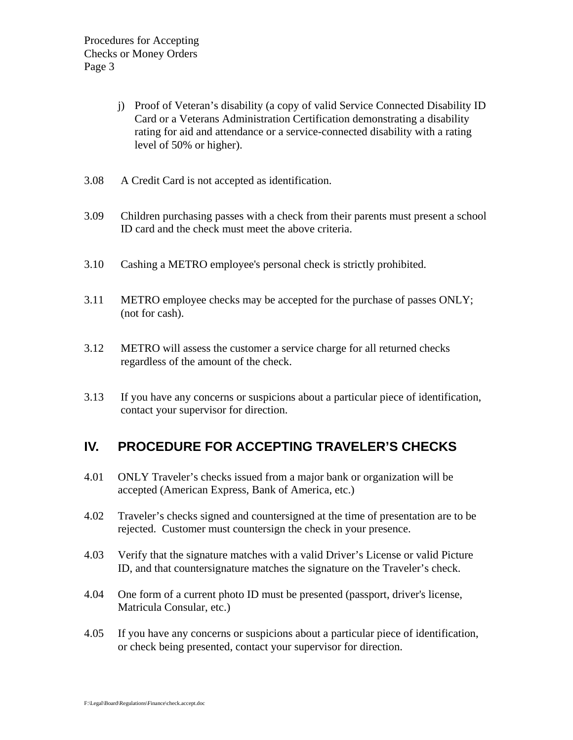- j) Proof of Veteran's disability (a copy of valid Service Connected Disability ID Card or a Veterans Administration Certification demonstrating a disability rating for aid and attendance or a service-connected disability with a rating level of 50% or higher).
- 3.08 A Credit Card is not accepted as identification.
- 3.09 Children purchasing passes with a check from their parents must present a school ID card and the check must meet the above criteria.
- 3.10 Cashing a METRO employee's personal check is strictly prohibited.
- 3.11 METRO employee checks may be accepted for the purchase of passes ONLY; (not for cash).
- 3.12 METRO will assess the customer a service charge for all returned checks regardless of the amount of the check.
- 3.13 If you have any concerns or suspicions about a particular piece of identification, contact your supervisor for direction.

## **IV. PROCEDURE FOR ACCEPTING TRAVELER'S CHECKS**

- 4.01 ONLY Traveler's checks issued from a major bank or organization will be accepted (American Express, Bank of America, etc.)
- 4.02 Traveler's checks signed and countersigned at the time of presentation are to be rejected. Customer must countersign the check in your presence.
- 4.03 Verify that the signature matches with a valid Driver's License or valid Picture ID, and that countersignature matches the signature on the Traveler's check.
- 4.04 One form of a current photo ID must be presented (passport, driver's license, Matricula Consular, etc.)
- 4.05 If you have any concerns or suspicions about a particular piece of identification, or check being presented, contact your supervisor for direction.